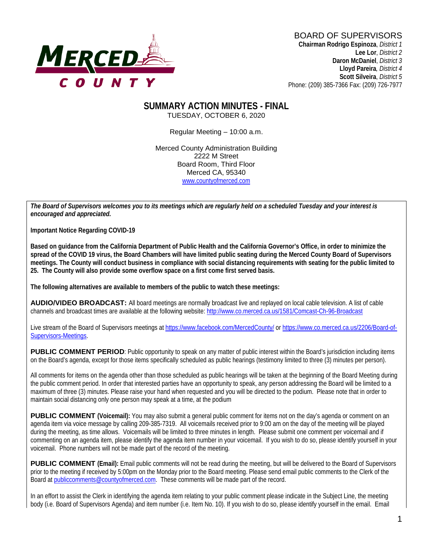

**Lee Lor**, *District 2*  **Daron McDaniel**, *District 3* **Lloyd Pareira***, District 4*  **Scott Silveira**, *District 5* Phone: (209) 385-7366 Fax: (209) 726-7977

#### **SUMMARY ACTION MINUTES - FINAL** TUESDAY, OCTOBER 6, 2020

Regular Meeting – 10:00 a.m.

Merced County Administration Building 2222 M Street Board Room, Third Floor Merced CA, 95340 www.countyofmerced.com

*The Board of Supervisors welcomes you to its meetings which are regularly held on a scheduled Tuesday and your interest is encouraged and appreciated.*

**Important Notice Regarding COVID-19**

**Based on guidance from the California Department of Public Health and the California Governor's Office, in order to minimize the spread of the COVID 19 virus, the Board Chambers will have limited public seating during the Merced County Board of Supervisors meetings. The County will conduct business in compliance with social distancing requirements with seating for the public limited to 25. The County will also provide some overflow space on a first come first served basis.**

**The following alternatives are available to members of the public to watch these meetings:**

**AUDIO/VIDEO BROADCAST:** All board meetings are normally broadcast live and replayed on local cable television. A list of cable channels and broadcast times are available at the following website[: http://www.co.merced.ca.us/1581/Comcast-Ch-96-Broadcast](http://www.co.merced.ca.us/1581/Comcast-Ch-96-Broadcast)

Live stream of the Board of Supervisors meetings at<https://www.facebook.com/MercedCounty/> o[r https://www.co.merced.ca.us/2206/Board-of-](https://www.co.merced.ca.us/2206/Board-of-Supervisors-Meetings)[Supervisors-Meetings.](https://www.co.merced.ca.us/2206/Board-of-Supervisors-Meetings)

**PUBLIC COMMENT PERIOD:** Public opportunity to speak on any matter of public interest within the Board's jurisdiction including items on the Board's agenda, except for those items specifically scheduled as public hearings (testimony limited to three (3) minutes per person).

All comments for items on the agenda other than those scheduled as public hearings will be taken at the beginning of the Board Meeting during the public comment period. In order that interested parties have an opportunity to speak, any person addressing the Board will be limited to a maximum of three (3) minutes. Please raise your hand when requested and you will be directed to the podium. Please note that in order to maintain social distancing only one person may speak at a time, at the podium

**PUBLIC COMMENT** (Voicemail): You may also submit a general public comment for items not on the day's agenda or comment on an agenda item via voice message by calling 209-385-7319. All voicemails received prior to 9:00 am on the day of the meeting will be played during the meeting, as time allows. Voicemails will be limited to three minutes in length. Please submit one comment per voicemail and if commenting on an agenda item, please identify the agenda item number in your voicemail. If you wish to do so, please identify yourself in your voicemail. Phone numbers will not be made part of the record of the meeting.

**PUBLIC COMMENT (Email):** Email public comments will not be read during the meeting, but will be delivered to the Board of Supervisors prior to the meeting if received by 5:00pm on the Monday prior to the Board meeting. Please send email public comments to the Clerk of the Board a[t publiccomments@countyofmerced.com.](mailto:publiccomments@countyofmerced.com) These comments will be made part of the record.

In an effort to assist the Clerk in identifying the agenda item relating to your public comment please indicate in the Subject Line, the meeting body (i.e. Board of Supervisors Agenda) and item number (i.e. Item No. 10). If you wish to do so, please identify yourself in the email. Email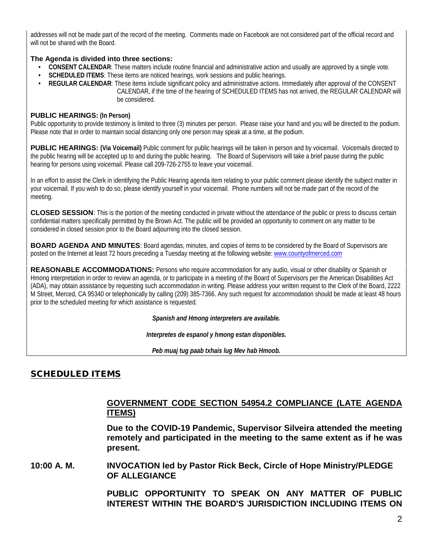addresses will not be made part of the record of the meeting. Comments made on Facebook are not considered part of the official record and will not be shared with the Board.

#### **The Agenda is divided into three sections:**

- **CONSENT CALENDAR**: These matters include routine financial and administrative action and usually are approved by a single vote.
- **SCHEDULED ITEMS**: These items are noticed hearings, work sessions and public hearings.
- **REGULAR CALENDAR**: These items include significant policy and administrative actions. Immediately after approval of the CONSENT CALENDAR, if the time of the hearing of SCHEDULED ITEMS has not arrived, the REGULAR CALENDAR will be considered.

#### **PUBLIC HEARINGS: (In Person)**

Public opportunity to provide testimony is limited to three (3) minutes per person. Please raise your hand and you will be directed to the podium. Please note that in order to maintain social distancing only one person may speak at a time, at the podium.

**PUBLIC HEARINGS: (Via Voicemail)** Public comment for public hearings will be taken in person and by voicemail. Voicemails directed to the public hearing will be accepted up to and during the public hearing. The Board of Supervisors will take a brief pause during the public hearing for persons using voicemail. Please call 209-726-2755 to leave your voicemail.

In an effort to assist the Clerk in identifying the Public Hearing agenda item relating to your public comment please identify the subject matter in your voicemail. If you wish to do so, please identify yourself in your voicemail. Phone numbers will not be made part of the record of the meeting.

**CLOSED SESSION**: This is the portion of the meeting conducted in private without the attendance of the public or press to discuss certain confidential matters specifically permitted by the Brown Act. The public will be provided an opportunity to comment on any matter to be considered in closed session prior to the Board adjourning into the closed session.

**BOARD AGENDA AND MINUTES:** Board agendas, minutes, and copies of items to be considered by the Board of Supervisors are posted on the Internet at least 72 hours preceding a Tuesday meeting at the following website: [www.countyofmerced.com](http://www.countyofmerced.com/) 

**REASONABLE ACCOMMODATIONS:** Persons who require accommodation for any audio, visual or other disability or Spanish or Hmong interpretation in order to review an agenda, or to participate in a meeting of the Board of Supervisors per the American Disabilities Act (ADA), may obtain assistance by requesting such accommodation in writing. Please address your written request to the Clerk of the Board, 2222 M Street, Merced, CA 95340 or telephonically by calling (209) 385-7366. Any such request for accommodation should be made at least 48 hours prior to the scheduled meeting for which assistance is requested.

*Spanish and Hmong interpreters are available.*

*Interpretes de espanol y hmong estan disponibles.*

*Peb muaj tug paab txhais lug Mev hab Hmoob.* 

## SCHEDULED ITEMS

## **GOVERNMENT CODE SECTION 54954.2 COMPLIANCE (LATE AGENDA ITEMS)**

**Due to the COVID-19 Pandemic, Supervisor Silveira attended the meeting remotely and participated in the meeting to the same extent as if he was present.** 

**10:00 A. M. INVOCATION led by Pastor Rick Beck, Circle of Hope Ministry/PLEDGE OF ALLEGIANCE**

> **PUBLIC OPPORTUNITY TO SPEAK ON ANY MATTER OF PUBLIC INTEREST WITHIN THE BOARD'S JURISDICTION INCLUDING ITEMS ON**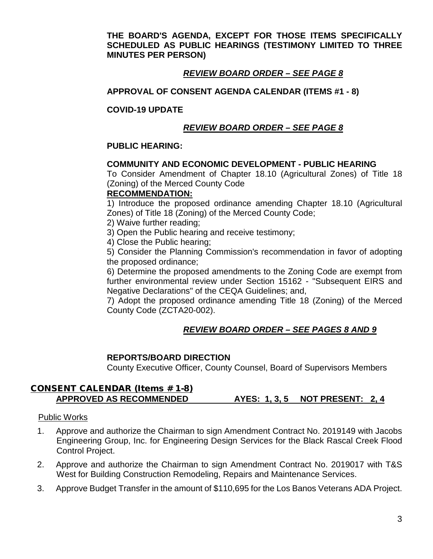**THE BOARD'S AGENDA, EXCEPT FOR THOSE ITEMS SPECIFICALLY SCHEDULED AS PUBLIC HEARINGS (TESTIMONY LIMITED TO THREE MINUTES PER PERSON)**

## *REVIEW BOARD ORDER – SEE PAGE 8*

## **APPROVAL OF CONSENT AGENDA CALENDAR (ITEMS #1 - 8)**

### **COVID-19 UPDATE**

## *REVIEW BOARD ORDER – SEE PAGE 8*

### **PUBLIC HEARING:**

### **COMMUNITY AND ECONOMIC DEVELOPMENT - PUBLIC HEARING**

To Consider Amendment of Chapter 18.10 (Agricultural Zones) of Title 18 (Zoning) of the Merced County Code

### **RECOMMENDATION:**

1) Introduce the proposed ordinance amending Chapter 18.10 (Agricultural Zones) of Title 18 (Zoning) of the Merced County Code;

2) Waive further reading;

3) Open the Public hearing and receive testimony;

4) Close the Public hearing;

5) Consider the Planning Commission's recommendation in favor of adopting the proposed ordinance;

6) Determine the proposed amendments to the Zoning Code are exempt from further environmental review under Section 15162 - "Subsequent EIRS and Negative Declarations" of the CEQA Guidelines; and,

7) Adopt the proposed ordinance amending Title 18 (Zoning) of the Merced County Code (ZCTA20-002).

# *REVIEW BOARD ORDER – SEE PAGES 8 AND 9*

### **REPORTS/BOARD DIRECTION**

County Executive Officer, County Counsel, Board of Supervisors Members

## CONSENT CALENDAR (Items # 1-8) **APPROVED AS RECOMMENDED AYES: 1, 3, 5 NOT PRESENT: 2, 4**

### Public Works

- 1. Approve and authorize the Chairman to sign Amendment Contract No. 2019149 with Jacobs Engineering Group, Inc. for Engineering Design Services for the Black Rascal Creek Flood Control Project.
- 2. Approve and authorize the Chairman to sign Amendment Contract No. 2019017 with T&S West for Building Construction Remodeling, Repairs and Maintenance Services.
- 3. Approve Budget Transfer in the amount of \$110,695 for the Los Banos Veterans ADA Project.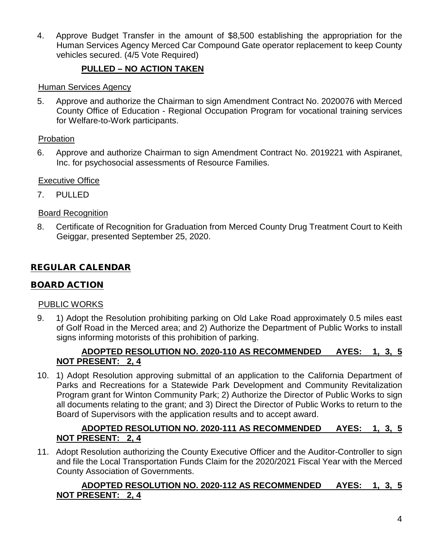4. Approve Budget Transfer in the amount of \$8,500 establishing the appropriation for the Human Services Agency Merced Car Compound Gate operator replacement to keep County vehicles secured. (4/5 Vote Required)

# **PULLED – NO ACTION TAKEN**

## Human Services Agency

5. Approve and authorize the Chairman to sign Amendment Contract No. 2020076 with Merced County Office of Education - Regional Occupation Program for vocational training services for Welfare-to-Work participants.

## Probation

6. Approve and authorize Chairman to sign Amendment Contract No. 2019221 with Aspiranet, Inc. for psychosocial assessments of Resource Families.

## Executive Office

7. PULLED

## Board Recognition

8. Certificate of Recognition for Graduation from Merced County Drug Treatment Court to Keith Geiggar, presented September 25, 2020.

# REGULAR CALENDAR

## BOARD ACTION

## PUBLIC WORKS

9. 1) Adopt the Resolution prohibiting parking on Old Lake Road approximately 0.5 miles east of Golf Road in the Merced area; and 2) Authorize the Department of Public Works to install signs informing motorists of this prohibition of parking.

## **ADOPTED RESOLUTION NO. 2020-110 AS RECOMMENDED AYES: 1, 3, 5 NOT PRESENT: 2, 4**

10. 1) Adopt Resolution approving submittal of an application to the California Department of Parks and Recreations for a Statewide Park Development and Community Revitalization Program grant for Winton Community Park; 2) Authorize the Director of Public Works to sign all documents relating to the grant; and 3) Direct the Director of Public Works to return to the Board of Supervisors with the application results and to accept award.

## **ADOPTED RESOLUTION NO. 2020-111 AS RECOMMENDED AYES: 1, 3, 5 NOT PRESENT: 2, 4**

11. Adopt Resolution authorizing the County Executive Officer and the Auditor-Controller to sign and file the Local Transportation Funds Claim for the 2020/2021 Fiscal Year with the Merced County Association of Governments.

## **ADOPTED RESOLUTION NO. 2020-112 AS RECOMMENDED AYES: 1, 3, 5 NOT PRESENT: 2, 4**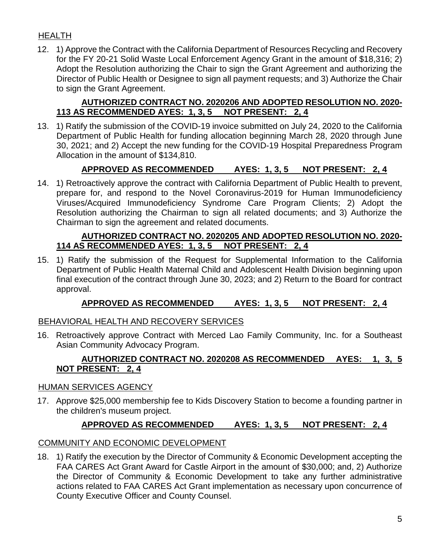# HEALTH

12. 1) Approve the Contract with the California Department of Resources Recycling and Recovery for the FY 20-21 Solid Waste Local Enforcement Agency Grant in the amount of \$18,316; 2) Adopt the Resolution authorizing the Chair to sign the Grant Agreement and authorizing the Director of Public Health or Designee to sign all payment requests; and 3) Authorize the Chair to sign the Grant Agreement.

## **AUTHORIZED CONTRACT NO. 2020206 AND ADOPTED RESOLUTION NO. 2020- 113 AS RECOMMENDED AYES: 1, 3, 5 NOT PRESENT: 2, 4**

13. 1) Ratify the submission of the COVID-19 invoice submitted on July 24, 2020 to the California Department of Public Health for funding allocation beginning March 28, 2020 through June 30, 2021; and 2) Accept the new funding for the COVID-19 Hospital Preparedness Program Allocation in the amount of \$134,810.

# **APPROVED AS RECOMMENDED AYES: 1, 3, 5 NOT PRESENT: 2, 4**

14. 1) Retroactively approve the contract with California Department of Public Health to prevent, prepare for, and respond to the Novel Coronavirus-2019 for Human Immunodeficiency Viruses/Acquired Immunodeficiency Syndrome Care Program Clients; 2) Adopt the Resolution authorizing the Chairman to sign all related documents; and 3) Authorize the Chairman to sign the agreement and related documents.

## **AUTHORIZED CONTRACT NO. 2020205 AND ADOPTED RESOLUTION NO. 2020- 114 AS RECOMMENDED AYES: 1, 3, 5 NOT PRESENT: 2, 4**

15. 1) Ratify the submission of the Request for Supplemental Information to the California Department of Public Health Maternal Child and Adolescent Health Division beginning upon final execution of the contract through June 30, 2023; and 2) Return to the Board for contract approval.

# **APPROVED AS RECOMMENDED AYES: 1, 3, 5 NOT PRESENT: 2, 4**

# BEHAVIORAL HEALTH AND RECOVERY SERVICES

16. Retroactively approve Contract with Merced Lao Family Community, Inc. for a Southeast Asian Community Advocacy Program.

## **AUTHORIZED CONTRACT NO. 2020208 AS RECOMMENDED AYES: 1, 3, 5 NOT PRESENT: 2, 4**

## HUMAN SERVICES AGENCY

17. Approve \$25,000 membership fee to Kids Discovery Station to become a founding partner in the children's museum project.

# **APPROVED AS RECOMMENDED AYES: 1, 3, 5 NOT PRESENT: 2, 4**

## COMMUNITY AND ECONOMIC DEVELOPMENT

18. 1) Ratify the execution by the Director of Community & Economic Development accepting the FAA CARES Act Grant Award for Castle Airport in the amount of \$30,000; and, 2) Authorize the Director of Community & Economic Development to take any further administrative actions related to FAA CARES Act Grant implementation as necessary upon concurrence of County Executive Officer and County Counsel.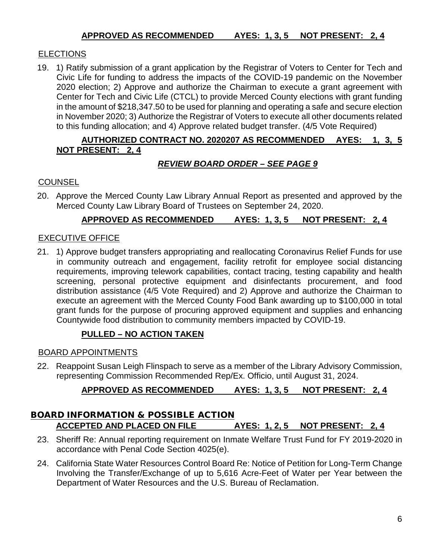# **ELECTIONS**

19. 1) Ratify submission of a grant application by the Registrar of Voters to Center for Tech and Civic Life for funding to address the impacts of the COVID-19 pandemic on the November 2020 election; 2) Approve and authorize the Chairman to execute a grant agreement with Center for Tech and Civic Life (CTCL) to provide Merced County elections with grant funding in the amount of \$218,347.50 to be used for planning and operating a safe and secure election in November 2020; 3) Authorize the Registrar of Voters to execute all other documents related to this funding allocation; and 4) Approve related budget transfer. (4/5 Vote Required)

## **AUTHORIZED CONTRACT NO. 2020207 AS RECOMMENDED AYES: 1, 3, 5 NOT PRESENT: 2, 4**

## *REVIEW BOARD ORDER – SEE PAGE 9*

## **COUNSEL**

20. Approve the Merced County Law Library Annual Report as presented and approved by the Merced County Law Library Board of Trustees on September 24, 2020.

## **APPROVED AS RECOMMENDED AYES: 1, 3, 5 NOT PRESENT: 2, 4**

## EXECUTIVE OFFICE

21. 1) Approve budget transfers appropriating and reallocating Coronavirus Relief Funds for use in community outreach and engagement, facility retrofit for employee social distancing requirements, improving telework capabilities, contact tracing, testing capability and health screening, personal protective equipment and disinfectants procurement, and food distribution assistance (4/5 Vote Required) and 2) Approve and authorize the Chairman to execute an agreement with the Merced County Food Bank awarding up to \$100,000 in total grant funds for the purpose of procuring approved equipment and supplies and enhancing Countywide food distribution to community members impacted by COVID-19.

## **PULLED – NO ACTION TAKEN**

### BOARD APPOINTMENTS

22. Reappoint Susan Leigh Flinspach to serve as a member of the Library Advisory Commission, representing Commission Recommended Rep/Ex. Officio, until August 31, 2024.

# **APPROVED AS RECOMMENDED AYES: 1, 3, 5 NOT PRESENT: 2, 4**

## **BOARD INFORMATION & POSSIBLE ACTION ACCEPTED AND PLACED ON FILE AYES: 1, 2, 5 NOT PRESENT: 2, 4**

- 23. Sheriff Re: Annual reporting requirement on Inmate Welfare Trust Fund for FY 2019-2020 in accordance with Penal Code Section 4025(e).
- 24. California State Water Resources Control Board Re: Notice of Petition for Long-Term Change Involving the Transfer/Exchange of up to 5,616 Acre-Feet of Water per Year between the Department of Water Resources and the U.S. Bureau of Reclamation.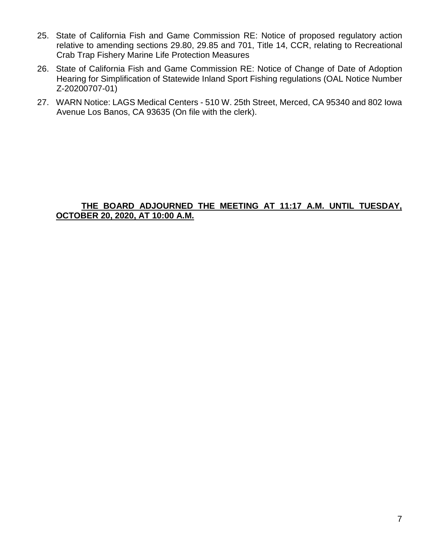- 25. State of California Fish and Game Commission RE: Notice of proposed regulatory action relative to amending sections 29.80, 29.85 and 701, Title 14, CCR, relating to Recreational Crab Trap Fishery Marine Life Protection Measures
- 26. State of California Fish and Game Commission RE: Notice of Change of Date of Adoption Hearing for Simplification of Statewide Inland Sport Fishing regulations (OAL Notice Number Z-20200707-01)
- 27. WARN Notice: LAGS Medical Centers 510 W. 25th Street, Merced, CA 95340 and 802 Iowa Avenue Los Banos, CA 93635 (On file with the clerk).

### **THE BOARD ADJOURNED THE MEETING AT 11:17 A.M. UNTIL TUESDAY, OCTOBER 20, 2020, AT 10:00 A.M.**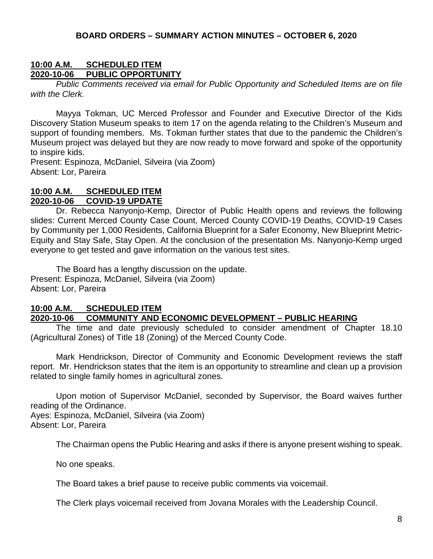#### **BOARD ORDERS – SUMMARY ACTION MINUTES – OCTOBER 6, 2020**

#### **10:00 A.M. SCHEDULED ITEM PUBLIC OPPORTUNITY**

*Public Comments received via email for Public Opportunity and Scheduled Items are on file with the Clerk.*

Mayya Tokman, UC Merced Professor and Founder and Executive Director of the Kids Discovery Station Museum speaks to item 17 on the agenda relating to the Children's Museum and support of founding members. Ms. Tokman further states that due to the pandemic the Children's Museum project was delayed but they are now ready to move forward and spoke of the opportunity to inspire kids.

Present: Espinoza, McDaniel, Silveira (via Zoom) Absent: Lor, Pareira

### **10:00 A.M. SCHEDULED ITEM 2020-10-06 COVID-19 UPDATE**

Dr. Rebecca Nanyonjo-Kemp, Director of Public Health opens and reviews the following slides: Current Merced County Case Count, Merced County COVID-19 Deaths, COVID-19 Cases by Community per 1,000 Residents, California Blueprint for a Safer Economy, New Blueprint Metric-Equity and Stay Safe, Stay Open. At the conclusion of the presentation Ms. Nanyonjo-Kemp urged everyone to get tested and gave information on the various test sites.

The Board has a lengthy discussion on the update. Present: Espinoza, McDaniel, Silveira (via Zoom) Absent: Lor, Pareira

#### **10:00 A.M. SCHEDULED ITEM**

#### **2020-10-06 COMMUNITY AND ECONOMIC DEVELOPMENT – PUBLIC HEARING**

The time and date previously scheduled to consider amendment of Chapter 18.10 (Agricultural Zones) of Title 18 (Zoning) of the Merced County Code.

Mark Hendrickson, Director of Community and Economic Development reviews the staff report. Mr. Hendrickson states that the item is an opportunity to streamline and clean up a provision related to single family homes in agricultural zones.

Upon motion of Supervisor McDaniel, seconded by Supervisor, the Board waives further reading of the Ordinance. Ayes: Espinoza, McDaniel, Silveira (via Zoom)

Absent: Lor, Pareira

The Chairman opens the Public Hearing and asks if there is anyone present wishing to speak.

No one speaks.

The Board takes a brief pause to receive public comments via voicemail.

The Clerk plays voicemail received from Jovana Morales with the Leadership Council.